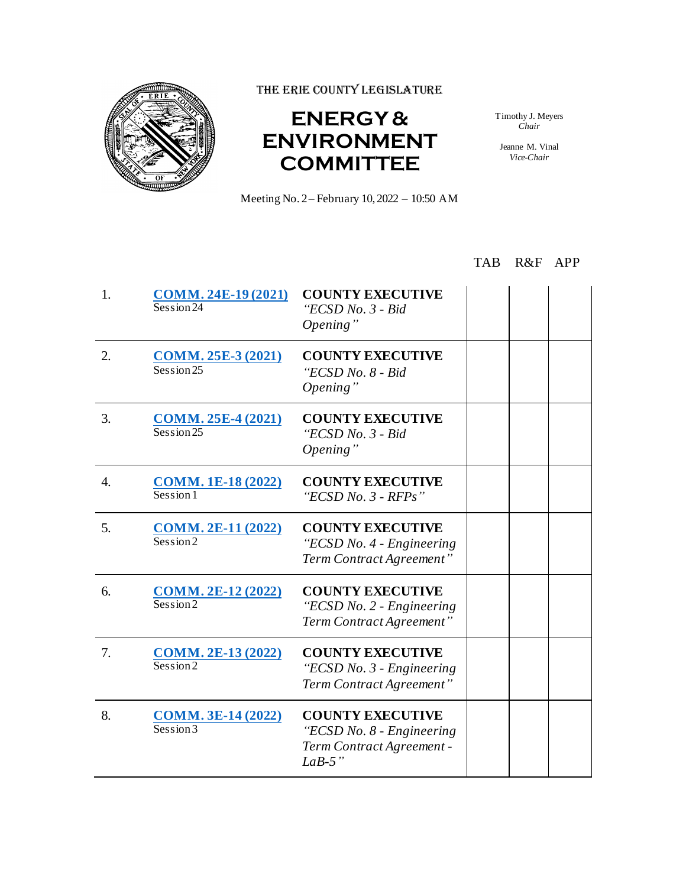

THE ERIE COUNTY LEGISLATURE

## **ENERGY & ENVIRONMENT COMMITTEE**

Timothy J. Meyers *Chair*

Jeanne M. Vinal *Vice-Chair*

Meeting No. 2– February 10, 2022 – 10:50 AM

## TAB R&F APP

| 1. | <b>COMM. 24E-19 (2021)</b><br>Session 24 | <b>COUNTY EXECUTIVE</b><br>"ECSD No. 3 - Bid<br>Opening"                                      |  |  |
|----|------------------------------------------|-----------------------------------------------------------------------------------------------|--|--|
| 2. | <b>COMM. 25E-3 (2021)</b><br>Session 25  | <b>COUNTY EXECUTIVE</b><br>"ECSD No. 8 - Bid<br>Opening"                                      |  |  |
| 3. | <b>COMM. 25E-4 (2021)</b><br>Session 25  | <b>COUNTY EXECUTIVE</b><br>"ECSD No. 3 - Bid<br>Opening"                                      |  |  |
| 4. | <b>COMM. 1E-18 (2022)</b><br>Session 1   | <b>COUNTY EXECUTIVE</b><br>"ECSD No. $3$ - RFPs"                                              |  |  |
| 5. | <b>COMM. 2E-11 (2022)</b><br>Session 2   | <b>COUNTY EXECUTIVE</b><br>"ECSD No. 4 - Engineering<br>Term Contract Agreement"              |  |  |
| 6. | <b>COMM. 2E-12 (2022)</b><br>Session2    | <b>COUNTY EXECUTIVE</b><br>"ECSD No. 2 - Engineering<br>Term Contract Agreement"              |  |  |
| 7. | <b>COMM. 2E-13 (2022)</b><br>Session2    | <b>COUNTY EXECUTIVE</b><br>"ECSD No. 3 - Engineering<br>Term Contract Agreement"              |  |  |
| 8. | <b>COMM. 3E-14 (2022)</b><br>Session3    | <b>COUNTY EXECUTIVE</b><br>"ECSD No. 8 - Engineering<br>Term Contract Agreement -<br>$LaB-5"$ |  |  |